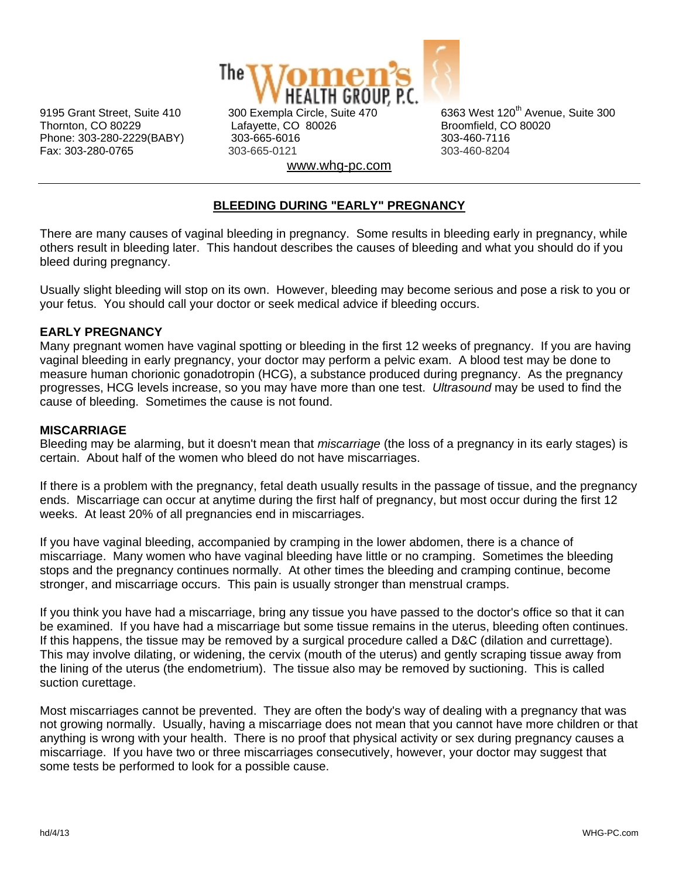

Thornton, CO 80229 Lafayette, CO 80026 Broomfield, CO 80020 Phone: 303-280-2229(BABY) 303-665-6016 303-460-7116 Fax: 303-280-0765 303-665-0121 303-460-8204 www.whg-pc.com

9195 Grant Street, Suite 410 300 Exempla Circle, Suite 470 6363 West 120<sup>th</sup> Avenue. Suite 300

# **BLEEDING DURING "EARLY" PREGNANCY**

There are many causes of vaginal bleeding in pregnancy. Some results in bleeding early in pregnancy, while others result in bleeding later. This handout describes the causes of bleeding and what you should do if you bleed during pregnancy.

Usually slight bleeding will stop on its own. However, bleeding may become serious and pose a risk to you or your fetus. You should call your doctor or seek medical advice if bleeding occurs.

## **EARLY PREGNANCY**

Many pregnant women have vaginal spotting or bleeding in the first 12 weeks of pregnancy. If you are having vaginal bleeding in early pregnancy, your doctor may perform a pelvic exam. A blood test may be done to measure human chorionic gonadotropin (HCG), a substance produced during pregnancy. As the pregnancy progresses, HCG levels increase, so you may have more than one test. *Ultrasound* may be used to find the cause of bleeding. Sometimes the cause is not found.

## **MISCARRIAGE**

Bleeding may be alarming, but it doesn't mean that *miscarriage* (the loss of a pregnancy in its early stages) is certain. About half of the women who bleed do not have miscarriages.

If there is a problem with the pregnancy, fetal death usually results in the passage of tissue, and the pregnancy ends. Miscarriage can occur at anytime during the first half of pregnancy, but most occur during the first 12 weeks. At least 20% of all pregnancies end in miscarriages.

If you have vaginal bleeding, accompanied by cramping in the lower abdomen, there is a chance of miscarriage. Many women who have vaginal bleeding have little or no cramping. Sometimes the bleeding stops and the pregnancy continues normally. At other times the bleeding and cramping continue, become stronger, and miscarriage occurs. This pain is usually stronger than menstrual cramps.

If you think you have had a miscarriage, bring any tissue you have passed to the doctor's office so that it can be examined. If you have had a miscarriage but some tissue remains in the uterus, bleeding often continues. If this happens, the tissue may be removed by a surgical procedure called a D&C (dilation and currettage). This may involve dilating, or widening, the cervix (mouth of the uterus) and gently scraping tissue away from the lining of the uterus (the endometrium). The tissue also may be removed by suctioning. This is called suction curettage.

Most miscarriages cannot be prevented. They are often the body's way of dealing with a pregnancy that was not growing normally. Usually, having a miscarriage does not mean that you cannot have more children or that anything is wrong with your health. There is no proof that physical activity or sex during pregnancy causes a miscarriage. If you have two or three miscarriages consecutively, however, your doctor may suggest that some tests be performed to look for a possible cause.